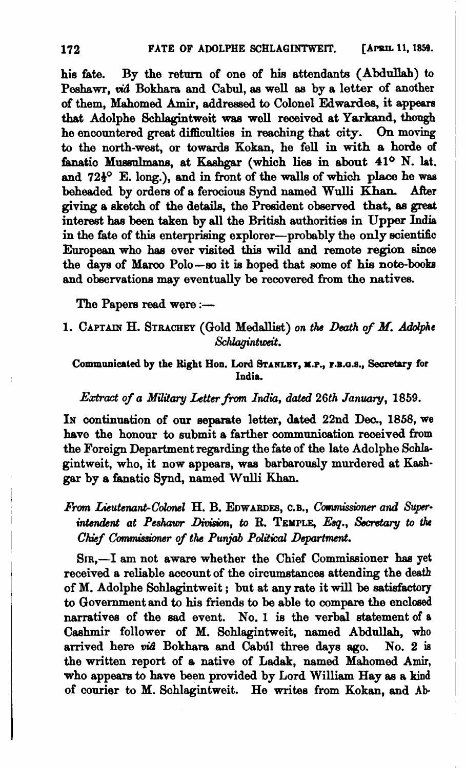his Eate. By the return of one of **hie** attendante **(Abdnllab)** to Peshawr, *vid* Bokhara and Cabul, as well as by a letter of another of them, Mahomed **Arnir,** addressed to Colonel Edwardes, it **appeare**  that Adolphe Schlagintweit **waa** well received at Yarkand, **though**  he encountered great difficulties in reaching that city. On moving to the north-west, or towards Kokan, he fell in with a horde of fanatic Mussulmans, at Kashgar (which lies in about  $41^{\circ}$  N. lat. and 72<sup>1</sup> E. long.), and in front of the walls of which **place** he was beheaded by orders of a ferocious Synd named Wulli Khan. After giving a sketch of the details, the President observed that, **as** peat interest has been taken by all the British authorities in Upper India in the fate of this enterprising explorer--probably the only scientific European who has ever visited this wild and remote region since the days of Marco Polo-so it is hoped that some of his note-books and observations may eventually be recovered from the natives.

The Papers read were :-

1. CAPTAIN H. STRACHEY (Gold Medallist) on the Death of M. Adolphe  $Schlagintweit.$ 

Communicated by the Right Hon. Lord STANLEY, M.P., P.B.G.S., Secretary for **India.** 

## *Extract of* **a** *Military Letter* **from India,** datd 26th January, 1859.

IN continuation of our separate letter, **dated** 22nd Deo., 1858, **we**  have the honour to submit a farther communication received from the Foreign Department regarding the fate of the late Adolphe Schlagintweit, who, it now appears, was barbarously murdered at Kashgar by a fanatio Synd, named Wulli Khan.

## *From Lieutenant-Colonel H. B. EDWARDES, C.B., Commissioner and Superinterdent* at *Peshawr Divish,* to *R.* **TEMPLE, Eq.,** Secmhy *to the Chief Commissioner of the Punjab Political Department.*

SIR,-I am not aware whether the Chief Commissioner has yet received a reliable account of the oircumstancea attending the death of M. Adolphe Schlagintweit ; but at any rate it will be satisfactory to Government and to his friends **to** be able to compare the enclosed narratives of the sad event. No. **1** is the verbal statement of **<sup>a</sup>** Cashmir follower of M. Schlagintweit, named Abdullah, **who**  arrived here **vi8** Bokhara and Cabdl three days ago. No. 2 **in**  the written report of a native of Ladak, named Mahomed **Amir,**  who appears to have been provided by Lord William Hay as a **kind**  of courier to M. Schlagintweit. He writes from Kokan, and Ab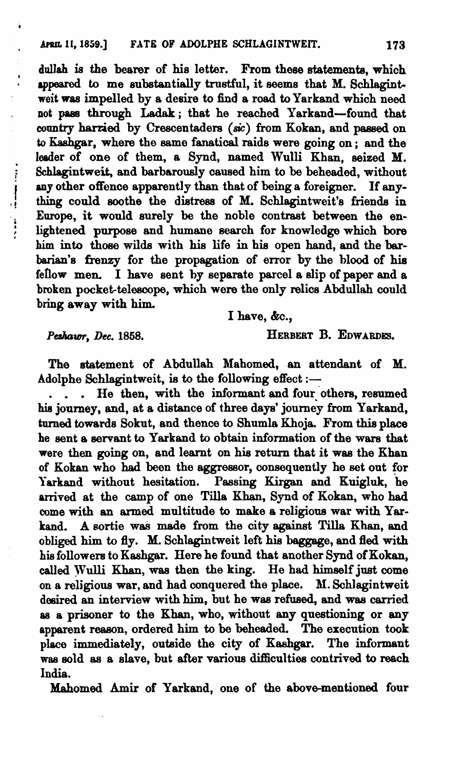dullah is the bearer of his letter. From these statements, which *qpearod* to me substantially truetful, it seems that **M.** Schlagint**weit wes** impelled by a desire to find a road to Yarkand which need not pass through Ladak; that he reached Yarkand-found that country harried by Crescentaders (sic) from Kokan, and passed on to Kashgar, where the same fanatical raids were going on; and the leader of one of them, a Synd, named Wulli Khan, seized **M.**  Schlagintweit, and barbarously caused him to be beheaded, without any other offence apparently than that of being a foreigner. If any-<br>thing could soothe the distress of M. Schlagintweit's friends in any other offence apparently than that of being a foreigner. If any-<br>thing could soothe the distress of M. Schlagintweit's friends in Europe, it would surely be the noble contrast between the en-<br>lightened purpose and humane search for knowledge which bore lightened purpose and humane search for knowledge which bore him **into** those wilds with his life in his open hand, and the **bar**barian's frenzy for the propagation of error by the blood of his fellow men. I have sent by separate parcel a slip of paper and a broken pocket-telescope, which were the only relics Abdullah could bring away with him.

I have, &c.,

Peshawr, Dec. 1858.

à,

HERBERT B. EDWARDES.

The statement of Abdullah Mahomed, an attendant of M. Adolphe Schlagintweit, is to the following effect :-

. . . He then, with the informant and four others, resumed his journey, and, at a distance of three days' journey from Yarkand, turned towards Sokut, and thence to Shumla Khoja. From this place he sent a servant to Yarkand to obtain information of the wars that were then **going** on, and learnt on his return that it wae the Khan of Kokan who had been the aggressor, consequently he set out for Yarkand without hesitation. Passing Kirgan and Kuigluk, he arrived at the camp of one Tilla Khan, Synd of Kokan, who had come with an armed multitude to make a religions war with Yarkand. A sortie was made from the city against Tilla Khan, and obliged him to fly. M. Schlagintweit left his baggage, and fled with his followers to Kashgar. Here he found that another Synd of Kokan, called **yulli** Khan, **was** then the king. He had himself jut come on a religious war, and had conquered the place. **M.** Schlagintweit desired an interview with him, but he wae refused, and was carried as a prisoner to the Khan, who, without any questioning or any apparent reason, ordered him to be beheaded. The execution took place immediately, outside the city of Keshgar. The informant **wae** sold as a slave, but after various difliculties contrived to reach India.

Mahomed **Amir** of Yarkand, one of the above-mentioned four